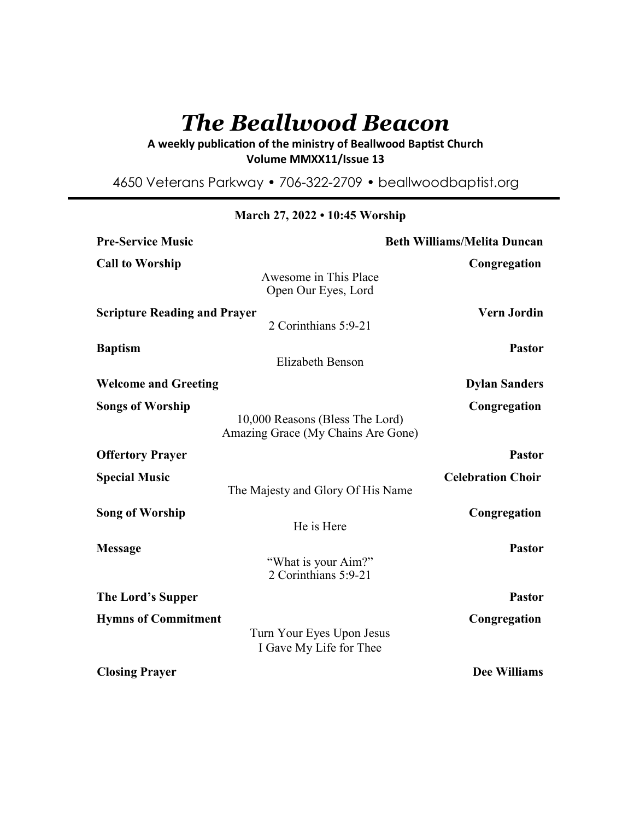# *The Beallwood Beacon*

# A weekly publication of the ministry of Beallwood Baptist Church **Volume MMXX11/Issue 13**

4650 Veterans Parkway • 706-322-2709 • beallwoodbaptist.org

| <b>Pre-Service Music</b>            | <b>Beth Williams/Melita Duncan</b>                                    |                          |
|-------------------------------------|-----------------------------------------------------------------------|--------------------------|
| <b>Call to Worship</b>              | Awesome in This Place<br>Open Our Eyes, Lord                          | Congregation             |
| <b>Scripture Reading and Prayer</b> | 2 Corinthians 5:9-21                                                  | <b>Vern Jordin</b>       |
| <b>Baptism</b>                      | <b>Elizabeth Benson</b>                                               | <b>Pastor</b>            |
| <b>Welcome and Greeting</b>         |                                                                       | <b>Dylan Sanders</b>     |
| <b>Songs of Worship</b>             | 10,000 Reasons (Bless The Lord)<br>Amazing Grace (My Chains Are Gone) | Congregation             |
| <b>Offertory Prayer</b>             |                                                                       | <b>Pastor</b>            |
| <b>Special Music</b>                | The Majesty and Glory Of His Name                                     | <b>Celebration Choir</b> |
| <b>Song of Worship</b>              | He is Here                                                            | Congregation             |
| <b>Message</b>                      | "What is your Aim?"<br>2 Corinthians 5:9-21                           | <b>Pastor</b>            |
| The Lord's Supper                   |                                                                       | <b>Pastor</b>            |
| <b>Hymns of Commitment</b>          | Turn Your Eyes Upon Jesus<br>I Gave My Life for Thee                  | Congregation             |
| <b>Closing Prayer</b>               |                                                                       | <b>Dee Williams</b>      |

**March 27, 2022 • 10:45 Worship**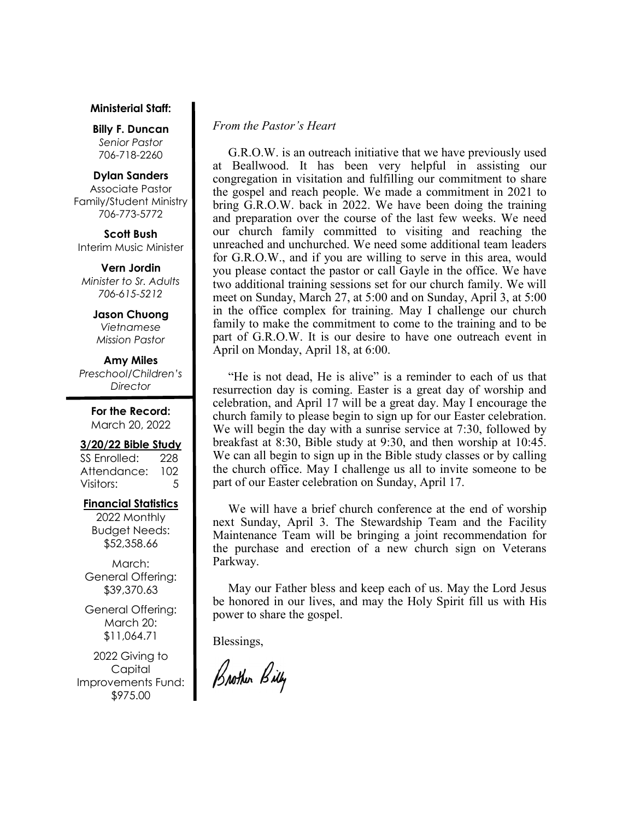#### **Ministerial Staff:**

**Billy F. Duncan** *Senior Pastor*  706-718-2260

#### **Dylan Sanders**

Associate Pastor Family/Student Ministry 706-773-5772

**Scott Bush**  Interim Music Minister

**Vern Jordin** *Minister to Sr. Adults 706-615-5212* 

> **Jason Chuong**  *Vietnamese Mission Pastor*

**Amy Miles** *Preschool/Children's Director* 

> **For the Record:**  March 20, 2022

#### **3/20/22 Bible Study**

SS Enrolled: 228 Attendance: 102 Visitors: 5

#### **Financial Statistics**

2022 Monthly Budget Needs: \$52,358.66

March: General Offering: \$39,370.63

General Offering: March 20: \$11,064.71

2022 Giving to Capital Improvements Fund: \$975.00

## *From the Pastor's Heart*

 G.R.O.W. is an outreach initiative that we have previously used at Beallwood. It has been very helpful in assisting our congregation in visitation and fulfilling our commitment to share the gospel and reach people. We made a commitment in 2021 to bring G.R.O.W. back in 2022. We have been doing the training and preparation over the course of the last few weeks. We need our church family committed to visiting and reaching the unreached and unchurched. We need some additional team leaders for G.R.O.W., and if you are willing to serve in this area, would you please contact the pastor or call Gayle in the office. We have two additional training sessions set for our church family. We will meet on Sunday, March 27, at 5:00 and on Sunday, April 3, at 5:00 in the office complex for training. May I challenge our church family to make the commitment to come to the training and to be part of G.R.O.W. It is our desire to have one outreach event in April on Monday, April 18, at 6:00.

 "He is not dead, He is alive" is a reminder to each of us that resurrection day is coming. Easter is a great day of worship and celebration, and April 17 will be a great day. May I encourage the church family to please begin to sign up for our Easter celebration. We will begin the day with a sunrise service at 7:30, followed by breakfast at 8:30, Bible study at 9:30, and then worship at 10:45. We can all begin to sign up in the Bible study classes or by calling the church office. May I challenge us all to invite someone to be part of our Easter celebration on Sunday, April 17.

 We will have a brief church conference at the end of worship next Sunday, April 3. The Stewardship Team and the Facility Maintenance Team will be bringing a joint recommendation for the purchase and erection of a new church sign on Veterans Parkway.

 May our Father bless and keep each of us. May the Lord Jesus be honored in our lives, and may the Holy Spirit fill us with His power to share the gospel.

Blessings,

Brother Billy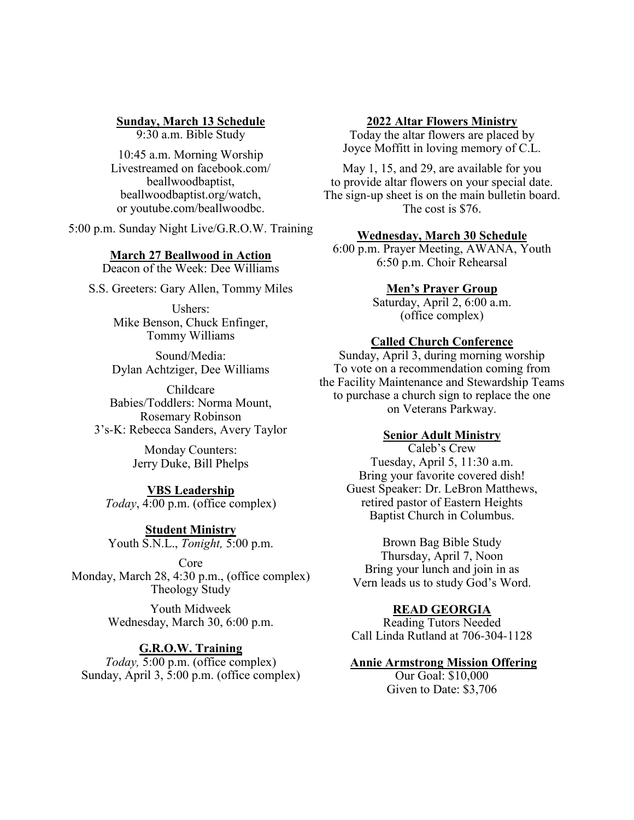## **Sunday, March 13 Schedule**

9:30 a.m. Bible Study

10:45 a.m. Morning Worship Livestreamed on facebook.com/ beallwoodbaptist, beallwoodbaptist.org/watch, or youtube.com/beallwoodbc.

5:00 p.m. Sunday Night Live/G.R.O.W. Training

## **March 27 Beallwood in Action**

Deacon of the Week: Dee Williams

S.S. Greeters: Gary Allen, Tommy Miles

Ushers: Mike Benson, Chuck Enfinger, Tommy Williams

Sound/Media: Dylan Achtziger, Dee Williams

Childcare Babies/Toddlers: Norma Mount, Rosemary Robinson 3's-K: Rebecca Sanders, Avery Taylor

> Monday Counters: Jerry Duke, Bill Phelps

#### **VBS Leadership** *Today*, 4:00 p.m. (office complex)

**Student Ministry** Youth S.N.L., *Tonight,* 5:00 p.m.

Core Monday, March 28, 4:30 p.m., (office complex) Theology Study

> Youth Midweek Wednesday, March 30, 6:00 p.m.

## **G.R.O.W. Training**

*Today,* 5:00 p.m. (office complex) Sunday, April 3, 5:00 p.m. (office complex)

#### **2022 Altar Flowers Ministry**

Today the altar flowers are placed by Joyce Moffitt in loving memory of C.L.

May 1, 15, and 29, are available for you to provide altar flowers on your special date. The sign-up sheet is on the main bulletin board. The cost is \$76.

## **Wednesday, March 30 Schedule**

6:00 p.m. Prayer Meeting, AWANA, Youth 6:50 p.m. Choir Rehearsal

# **Men's Prayer Group**

Saturday, April 2, 6:00 a.m. (office complex)

## **Called Church Conference**

Sunday, April 3, during morning worship To vote on a recommendation coming from the Facility Maintenance and Stewardship Teams to purchase a church sign to replace the one on Veterans Parkway.

## **Senior Adult Ministry**

Caleb's Crew Tuesday, April 5, 11:30 a.m. Bring your favorite covered dish! Guest Speaker: Dr. LeBron Matthews, retired pastor of Eastern Heights Baptist Church in Columbus.

Brown Bag Bible Study Thursday, April 7, Noon Bring your lunch and join in as Vern leads us to study God's Word.

#### **READ GEORGIA**

Reading Tutors Needed Call Linda Rutland at 706-304-1128

#### **Annie Armstrong Mission Offering**

Our Goal: \$10,000 Given to Date: \$3,706